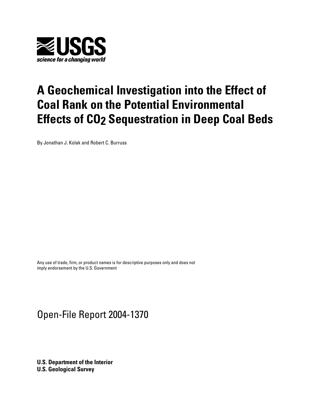

# **A Geochemical Investigation into the Effect of Coal Rank on the Potential Environmental Effects of CO2 Sequestration in Deep Coal Beds**

By Jonathan J. Kolak and Robert C. Burruss

Any use of trade, firm, or product names is for descriptive purposes only and does not imply endorsement by the U.S. Government

## Open-File Report 2004-1370

**U.S. Department of the Interior U.S. Geological Survey**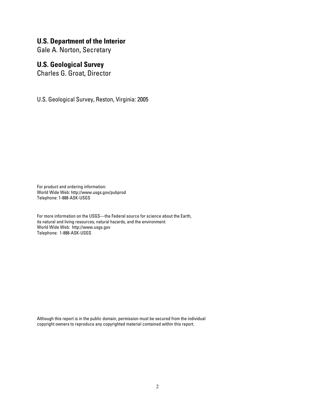## **U.S. Department of the Interior**

Gale A. Norton, Secretary

## **U.S. Geological Survey**

Charles G. Groat, Director

U.S. Geological Survey, Reston, Virginia: 2005

For product and ordering information: World Wide Web: http://www.usgs.gov/pubprod Telephone: 1-888-ASK-USGS

For more information on the USGS—the Federal source for science about the Earth, its natural and living resources, natural hazards, and the environment: World Wide Web: http://www.usgs.gov Telephone: 1-888-ASK-USGS

Although this report is in the public domain, permission must be secured from the individual copyright owners to reproduce any copyrighted material contained within this report.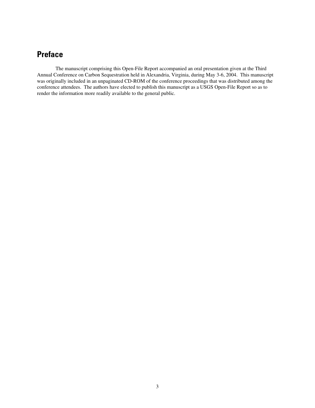## **Preface**

The manuscript comprising this Open-File Report accompanied an oral presentation given at the Third Annual Conference on Carbon Sequestration held in Alexandria, Virginia, during May 3-6, 2004. This manuscript was originally included in an unpaginated CD-ROM of the conference proceedings that was distributed among the conference attendees. The authors have elected to publish this manuscript as a USGS Open-File Report so as to render the information more readily available to the general public.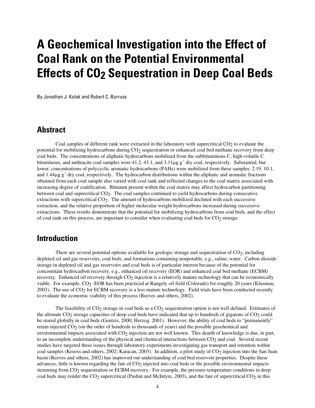# **A Geochemical Investigation into the Effect of Coal Rank on the Potential Environmental Effects of CO2 Sequestration in Deep Coal Beds**

By Jonathan J. Kolak and Robert C. Burruss

## **Abstract**

Coal samples of different rank were extracted in the laboratory with supercritical  $CO<sub>2</sub>$  to evaluate the potential for mobilizing hydrocarbons during CO<sub>2</sub> sequestration or enhanced coal bed methane recovery from deep coal beds. The concentrations of aliphatic hydrocarbons mobilized from the subbituminous C, high-volatile C bituminous, and anthracite coal samples were  $41.2$ ,  $43.1$ , and  $3.11\mu$ g g<sup>-1</sup> dry coal, respectively. Substantial, but lower, concentrations of polycyclic aromatic hydrocarbons (PAHs) were mobilized from these samples: 2.19, 10.1, and  $1.44\mu$ g g<sup>-1</sup> dry coal, respectively. The hydrocarbon distributions within the aliphatic and aromatic fractions obtained from each coal sample also varied with coal rank and reflected changes to the coal matrix associated with increasing degree of coalification. Bitumen present within the coal matrix may affect hydrocarbon partitioning between coal and supercritical CO2. The coal samples continued to yield hydrocarbons during consecutive extractions with supercritical  $CO<sub>2</sub>$ . The amount of hydrocarbons mobilized declined with each successive extraction, and the relative proportion of higher molecular weight hydrocarbons increased during successive extractions. These results demonstrate that the potential for mobilizing hydrocarbons from coal beds, and the effect of coal rank on this process, are important to consider when evaluating coal beds for  $CO<sub>2</sub>$  storage.

## **Introduction**

There are several potential options available for geologic storage and sequestration of  $CO<sub>2</sub>$ , including depleted oil and gas reservoirs, coal beds, and formations containing nonpotable, e.g., saline, water. Carbon dioxide storage in depleted oil and gas reservoirs and coal beds is of particular interest because of the potential for concomitant hydrocarbon recovery, e.g., enhanced oil recovery (EOR) and enhanced coal bed methane (ECBM) recovery. Enhanced oil recovery through  $CO<sub>2</sub>$  injection is a relatively mature technology that can be economically viable. For example, CO<sub>2</sub> -EOR has been practiced at Rangely oil field (Colorado) for roughly 20 years (Klusman, 2003). The use of  $CO<sub>2</sub>$  for ECBM recovery is a less mature technology. Field trials have been conducted recently to evaluate the economic viability of this process (Reeves and others, 2002).

The feasibility of  $CO_2$  storage in coal beds as a  $CO_2$  sequestration option is not well defined. Estimates of the ultimate  $CO_2$  storage capacities of deep coal beds have indicated that up to hundreds of gigatons of  $CO_2$  could be stored globally in coal beds (Gentzis, 2000; Herzog, 2001). However, the ability of coal beds to "permanently" retain injected  $CO<sub>2</sub>$  (on the order of hundreds to thousands of years) and the possible geochemical and environmental impacts associated with  $CO<sub>2</sub>$  injection are not well known. This dearth of knowledge is due, in part, to an incomplete understanding of the physical and chemical interactions between  $CO<sub>2</sub>$  and coal. Several recent studies have targeted these issues through laboratory experiments investigating gas transport and retention within coal samples (Krooss and others, 2002; Karacan, 2003). In addition, a pilot study of  $CO_2$  injection into the San Juan basin (Reeves and others, 2002) has improved our understanding of coal bed reservoir properties. Despite these advances, little is known regarding the fate of  $CO<sub>2</sub>$  injected into coal beds or the possible environmental impacts stemming from CO<sub>2</sub> sequestration or ECBM recovery. For example, the pressure-temperature conditions in deep coal beds may render the  $CO_2$  supercritical (Pashin and McIntyre, 2003), and the fate of supercritical  $CO_2$  in this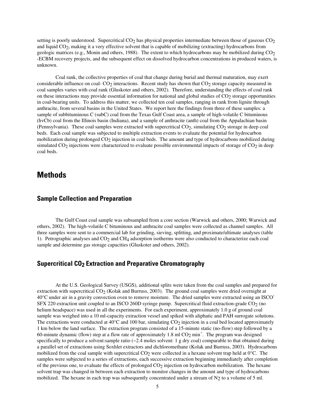setting is poorly understood. Supercritical  $CO<sub>2</sub>$  has physical properties intermediate between those of gaseous  $CO<sub>2</sub>$ and liquid CO2, making it a very effective solvent that is capable of mobilizing (extracting) hydrocarbons from geologic matrices (e.g., Monin and others, 1988). The extent to which hydrocarbons may be mobilized during CO<sub>2</sub> -ECBM recovery projects, and the subsequent effect on dissolved hydrocarbon concentrations in produced waters, is unknown.

Coal rank, the collective properties of coal that change during burial and thermal maturation, may exert considerable influence on coal- $CO<sub>2</sub>$  interactions. Recent study has shown that  $CO<sub>2</sub>$  storage capacity measured in coal samples varies with coal rank (Gluskoter and others, 2002). Therefore, understanding the effects of coal rank on these interactions may provide essential information for national and global studies of  $CO<sub>2</sub>$  storage opportunities in coal-bearing units. To address this matter, we collected ten coal samples, ranging in rank from lignite through anthracite, from several basins in the United States. We report here the findings from three of these samples: a sample of subbituminous C (subC) coal from the Texas Gulf Coast area, a sample of high-volatile C bituminous (hvCb) coal from the Illinois basin (Indiana), and a sample of anthracite (anth) coal from the Appalachian basin (Pennsylvania). These coal samples were extracted with supercritical CO2, simulating CO2 storage in deep coal beds. Each coal sample was subjected to multiple extraction events to evaluate the potential for hydrocarbon mobilization during prolonged CO<sub>2</sub> injection in coal beds. The amount and type of hydrocarbons mobilized during simulated  $CO<sub>2</sub>$  injections were characterized to evaluate possible environmental impacts of storage of  $CO<sub>2</sub>$  in deep coal beds.

## **Methods**

#### **Sample Collection and Preparation**

The Gulf Coast coal sample was subsampled from a core section (Warwick and others, 2000; Warwick and others, 2002). The high-volatile C bituminous and anthracite coal samples were collected as channel samples. All three samples were sent to a commercial lab for grinding, sieving, splitting, and proximate/ultimate analyses (table 1). Petrographic analyses and  $CO<sub>2</sub>$  and  $CH<sub>4</sub>$  adsorption isotherms were also conducted to characterize each coal sample and determine gas storage capacities (Gluskoter and others, 2002).

#### **Supercritical CO2 Extraction and Preparative Chromatography**

At the U.S. Geological Survey (USGS), additional splits were taken from the coal samples and prepared for extraction with supercritical  $CO<sub>2</sub>$  (Kolak and Burruss, 2003). The ground coal samples were dried overnight at 40°C under air in a gravity convection oven to remove moisture. The dried samples were extracted using an ISCO<sup>1</sup> SFX 220 extraction unit coupled to an ISCO 260D syringe pump. Supercritical fluid extraction-grade  $CO<sub>2</sub>$  (no helium headspace) was used in all the experiments. For each experiment, approximately 1.0 g of ground coal sample was weighed into a 10 ml-capacity extraction vessel and spiked with aliphatic and PAH surrogate solutions. The extractions were conducted at  $40^{\circ}$ C and 100 bar, simulating CO<sub>2</sub> injection in a coal bed located approximately 1 km below the land surface. The extraction program consisted of a 15-minute static (no-flow) step followed by a 60-minute dynamic (flow) step at a flow rate of approximately 1.8 ml  $CO<sub>2</sub> min<sup>-1</sup>$ . The program was designed specifically to produce a solvent: sample ratio (~2.4 moles solvent: 1 g dry coal) comparable to that obtained during a parallel set of extractions using Soxhlet extractors and dichloromethane (Kolak and Burruss, 2003). Hydrocarbons mobilized from the coal sample with supercritical  $CO<sub>2</sub>$  were collected in a hexane solvent trap held at  $0^{\circ}$ C. The samples were subjected to a series of extractions, each successive extraction beginning immediately after completion of the previous one, to evaluate the effects of prolonged  $CO<sub>2</sub>$  injection on hydrocarbon mobilization. The hexane solvent trap was changed in between each extraction to monitor changes in the amount and type of hydrocarbons mobilized. The hexane in each trap was subsequently concentrated under a stream of  $N_2$  to a volume of 5 ml.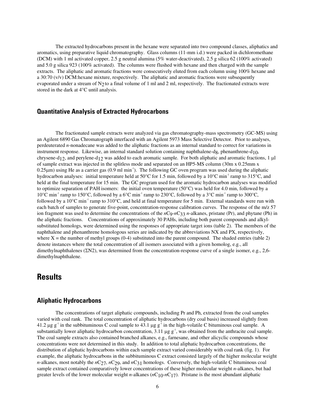The extracted hydrocarbons present in the hexane were separated into two compound classes, aliphatics and aromatics, using preparative liquid chromatography. Glass columns (11-mm i.d.) were packed in dichloromethane (DCM) with 1 ml activated copper, 2.5 g neutral alumina (5% water-deactivated), 2.5 g silica 62 (100% activated) and 5.0 g silica 923 (100% activated). The columns were flushed with hexane and then charged with the sample extracts. The aliphatic and aromatic fractions were consecutively eluted from each column using 100% hexane and a 30:70  $(v/v)$  DCM:hexane mixture, respectively. The aliphatic and aromatic fractions were subsequently evaporated under a stream of  $N<sub>2</sub>$  to a final volume of 1 ml and 2 ml, respectively. The fractionated extracts were stored in the dark at 4°C until analysis.

#### **Quantitative Analysis of Extracted Hydrocarbons**

The fractionated sample extracts were analyzed via gas chromatography-mass spectrometry (GC-MS) using an Agilent 6890 Gas Chromatograph interfaced with an Agilent 5973 Mass Selective Detector. Prior to analyses, perdeuterated *n*-nonadecane was added to the aliphatic fractions as an internal standard to correct for variations in instrument response. Likewise, an internal standard solution containing naphthalene-dg, phenanthrene-d<sub>10</sub>, chrysene-d12, and perylene-d12 was added to each aromatic sample. For both aliphatic and aromatic fractions, 1 µl of sample extract was injected in the splitless mode and separated on an HP5-MS column (30m x 0.25mm x  $0.25\mu$ m) using He as a carrier gas  $(0.9 \text{ ml min}^{-1})$ . The following GC oven program was used during the aliphatic hydrocarbon analyses: initial temperature held at 50 $^{\circ}$ C for 1.5 min, followed by a 10 $^{\circ}$ C min<sup>-1</sup> ramp to 315 $^{\circ}$ C, and held at the final temperature for 15 min. The GC program used for the aromatic hydrocarbon analyses was modified to optimize separation of PAH isomers: the initial oven temperature (50°C) was held for 4.0 min, followed by a 10°C min<sup>-1</sup> ramp to 150°C, followed by a 6°C min<sup>-1</sup> ramp to 230°C, followed by a 3°C min<sup>-1</sup> ramp to 300°C, followed by a  $10^{\circ}$ C min<sup>-1</sup> ramp to  $310^{\circ}$ C, and held at final temperature for 5 min. External standards were run with each batch of samples to generate five-point, concentration-response calibration curves. The response of the m/z 57 ion fragment was used to determine the concentrations of the *n*C9-*n*C33 *n*-alkanes, pristane (Pr), and phytane (Ph) in the aliphatic fractions. Concentrations of approximately 30 PAHs, including both parent compounds and alkylsubstituted homologs, were determined using the responses of appropriate target ions (table 2). The members of the naphthalene and phenanthrene homologous series are indicated by the abbreviations NX and PX, respectively, where  $X =$  the number of methyl groups (0-4) substituted into the parent compound. The shaded entries (table 2) denote instances where the total concentration of all isomers associated with a given homolog, e.g., all dimethylnaphthalenes (ΣN2), was determined from the concentration-response curve of a single isomer, e.g., 2,6 dimethylnaphthalene.

### **Results**

#### **Aliphatic Hydrocarbons**

The concentrations of target aliphatic compounds, including Pr and Ph, extracted from the coal samples varied with coal rank. The total concentration of aliphatic hydrocarbons (dry coal basis) increased slightly from 41.2  $\mu$ g g<sup>-1</sup> in the subbituminous C coal sample to 43.1  $\mu$ g g<sup>-1</sup> in the high-volatile C bituminous c substantially lower aliphatic hydrocarbon concentration,  $3.11 \mu g g^{-1}$ , was obtained from the anthracite coal sample. The coal sample extracts also contained branched alkanes, e.g., farnesane, and other alicyclic compounds whose concentrations were not determined in this study. In addition to total aliphatic hydrocarbon concentrations, the distribution of aliphatic hydrocarbons within each sample extract varied considerably with coal rank (fig. 1). For example, the aliphatic hydrocarbons in the subbituminous C extract consisted largely of the higher molecular weight *n*-alkanes, most notably the *n*C<sub>27</sub>, *n*C<sub>29</sub>, and *n*C<sub>31</sub> homologs. Conversely, the high-volatile C bituminous coal sample extract contained comparatively lower concentrations of these higher molecular weight *n*-alkanes, but had greater levels of the lower molecular weight *n*-alkanes  $(nC_{10} - nC_{17})$ . Pristane is the most abundant aliphatic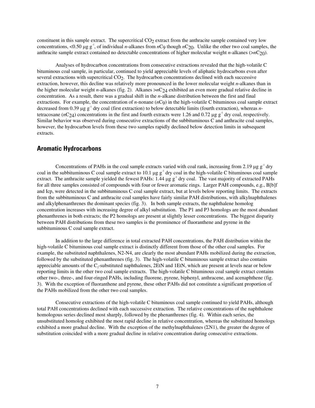constituent in this sample extract. The supercritical  $CO<sub>2</sub>$  extract from the anthracite sample contained very low concentrations, <0.50  $\mu$ g g<sup>-1</sup>, of individual *n*-alkanes from *n*C9 though *n*C<sub>20</sub>. Unlike the other two coal samples, the anthracite sample extract contained no detectable concentrations of higher molecular weight *n*-alkanes (>*n*C20).

Analyses of hydrocarbon concentrations from consecutive extractions revealed that the high-volatile C bituminous coal sample, in particular, continued to yield appreciable levels of aliphatic hydrocarbons even after several extractions with supercritical CO<sub>2</sub>. The hydrocarbon concentrations declined with each successive extraction, however, this decline was relatively more pronounced in the lower molecular weight *n*-alkanes than in the higher molecular weight *n*-alkanes (fig. 2). Alkanes >*n*C24 exhibited an even more gradual relative decline in concentration. As a result, there was a gradual shift in the *n*-alkane distribution between the first and final extractions. For example, the concentration of *n*-nonane (*n*C9) in the high-volatile C bituminous coal sample extract decreased from 0.39  $\mu$ g g<sup>-1</sup> dry coal (first extraction) to below detectable limits (fourth extraction), whereas *n*tetracosane ( $nC_2$ 4) concentrations in the first and fourth extracts were 1.26 and 0.72  $\mu$ g g<sup>-1</sup> dry coal, respectively. Similar behavior was observed during consecutive extractions of the subbituminous C and anthracite coal samples, however, the hydrocarbon levels from these two samples rapidly declined below detection limits in subsequent extracts.

#### **Aromatic Hydrocarbons**

Concentrations of PAHs in the coal sample extracts varied with coal rank, increasing from 2.19  $\mu$ g g<sup>-1</sup> dry coal in the subbituminous C coal sample extract to 10.1  $\mu$ g g<sup>-1</sup> dry coal in the high-volatile C bituminous coal sample extract. The anthracite sample yielded the fewest PAHs:  $1.44 \mu g g^{-1}$  dry coal. The vast majority of extracted PAHs for all three samples consisted of compounds with four or fewer aromatic rings. Larger PAH compounds, e.g., B[b]f and Icp, were detected in the subbituminous C coal sample extract, but at levels below reporting limits. The extracts from the subbituminous C and anthracite coal samples have fairly similar PAH distributions, with alkylnaphthalenes and alkylphenanthrenes the dominant species (fig. 3). In both sample extracts, the naphthalene homolog concentration increases with increasing degree of alkyl substitution. The P1 and P3 homologs are the most abundant phenanthrenes in both extracts; the P2 homologs are present at slightly lesser concentrations. The biggest disparity between PAH distributions from these two samples is the prominence of fluoranthene and pyrene in the subbituminous C coal sample extract.

In addition to the large difference in total extracted PAH concentrations, the PAH distribution within the high-volatile C bituminous coal sample extract is distinctly different from those of the other coal samples. For example, the substituted naphthalenes, N2-N4, are clearly the most abundant PAHs mobilized during the extraction, followed by the substituted phenanthrenes (fig. 3). The high-volatile C bituminous sample extract also contains appreciable amounts of the  $C_2$ -substituted naphthalenes, 2EtN and 1EtN, which are present at levels near or below reporting limits in the other two coal sample extracts. The high-volatile C bituminous coal sample extract contains other two-, three-, and four-ringed PAHs, including fluorene, pyrene, biphenyl, anthracene, and acenaphthene (fig. 3). With the exception of fluoranthene and pyrene, these other PAHs did not constitute a significant proportion of the PAHs mobilized from the other two coal samples.

Consecutive extractions of the high-volatile C bituminous coal sample continued to yield PAHs, although total PAH concentrations declined with each successive extraction. The relative concentrations of the naphthalene homologous series declined most sharply, followed by the phenanthrenes (fig. 4). Within each series, the unsubstituted homolog exhibited the most rapid decline in relative concentration, whereas the substituted homologs exhibited a more gradual decline. With the exception of the methylnaphthalenes (ΣN1), the greater the degree of substitution coincided with a more gradual decline in relative concentration during consecutive extractions.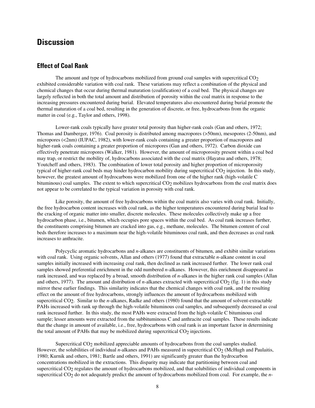## **Discussion**

#### **Effect of Coal Rank**

The amount and type of hydrocarbons mobilized from ground coal samples with supercritical  $CO<sub>2</sub>$ exhibited considerable variation with coal rank. These variations may reflect a combination of the physical and chemical changes that occur during thermal maturation (coalification) of a coal bed. The physical changes are largely reflected in both the total amount and distribution of porosity within the coal matrix in response to the increasing pressures encountered during burial. Elevated temperatures also encountered during burial promote the thermal maturation of a coal bed, resulting in the generation of discrete, or free, hydrocarbons from the organic matter in coal (e.g., Taylor and others, 1998).

Lower-rank coals typically have greater total porosity than higher-rank coals (Gan and others, 1972; Thomas and Damberger, 1976). Coal porosity is distributed among macropores (>50nm), mesopores (2-50nm), and micropores (<2nm) (IUPAC, 1982), with lower-rank coals containing a greater proportion of macropores and higher-rank coals containing a greater proportion of micropores (Gan and others, 1972). Carbon dioxide can effectively penetrate micropores (Walker, 1981). However, the amount of microporosity present within a coal bed may trap, or restrict the mobility of, hydrocarbons associated with the coal matrix (Hayatsu and others, 1978; Youtcheff and others, 1983). The combination of lower total porosity and higher proportion of microporosity typical of higher-rank coal beds may hinder hydrocarbon mobility during supercritical  $CO<sub>2</sub>$  injection. In this study, however, the greatest amount of hydrocarbons were mobilized from one of the higher rank (high-volatile C bituminous) coal samples. The extent to which supercritical  $CO<sub>2</sub>$  mobilizes hydrocarbons from the coal matrix does not appear to be correlated to the typical variation in porosity with coal rank.

Like porosity, the amount of free hydrocarbons within the coal matrix also varies with coal rank. Initially, the free hydrocarbon content increases with coal rank, as the higher temperatures encountered during burial lead to the cracking of organic matter into smaller, discrete molecules. These molecules collectively make up a free hydrocarbon phase, i.e., bitumen, which occupies pore spaces within the coal bed. As coal rank increases further, the constituents comprising bitumen are cracked into gas, e.g., methane, molecules. The bitumen content of coal beds therefore increases to a maximum near the high-volatile bituminous coal rank, and then decreases as coal rank increases to anthracite.

Polycyclic aromatic hydrocarbons and *n*-alkanes are constituents of bitumen, and exhibit similar variations with coal rank. Using organic solvents, Allan and others (1977) found that extractable *n*-alkane content in coal samples initially increased with increasing coal rank, then declined as rank increased further. The lower rank coal samples showed preferential enrichment in the odd numbered *n*-alkanes. However, this enrichment disappeared as rank increased, and was replaced by a broad, smooth distribution of *n*-alkanes in the higher rank coal samples (Allan and others, 1977). The amount and distribution of  $n$ -alkanes extracted with supercritical  $CO<sub>2</sub>$  (fig. 1) in this study mirror these earlier findings. This similarity indicates that the chemical changes with coal rank, and the resulting effect on the amount of free hydrocarbons, strongly influences the amount of hydrocarbons mobilized with supercritical CO<sub>2</sub>. Similar to the *n*-alkanes, Radke and others (1980) found that the amount of solvent-extractable PAHs increased with rank up through the high-volatile bituminous coal samples, and subsequently decreased as coal rank increased further. In this study, the most PAHs were extracted from the high-volatile C bituminous coal sample; lesser amounts were extracted from the subbituminous C and anthracite coal samples. These results indicate that the change in amount of available, i.e., free, hydrocarbons with coal rank is an important factor in determining the total amount of PAHs that may be mobilized during supercritical  $CO<sub>2</sub>$  injections.

Supercritical CO<sub>2</sub> mobilized appreciable amounts of hydrocarbons from the coal samples studied. However, the solubilities of individual *n*-alkanes and PAHs measured in supercritical CO<sub>2</sub> (McHugh and Paulaitis, 1980; Kurnik and others, 1981; Bartle and others, 1991) are significantly greater than the hydrocarbon concentrations mobilized in the extractions. This disparity may indicate that partitioning between coal and supercritical CO<sub>2</sub> regulates the amount of hydrocarbons mobilized, and that solubilities of individual components in supercritical CO<sub>2</sub> do not adequately predict the amount of hydrocarbons mobilized from coal. For example, the *n*-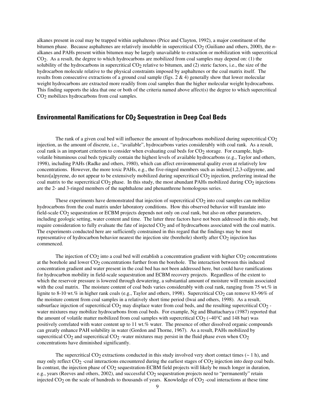alkanes present in coal may be trapped within asphaltenes (Price and Clayton, 1992), a major constituent of the bitumen phase. Because asphaltenes are relatively insoluble in supercritical CO<sub>2</sub> (Guiliano and others, 2000), the *n*alkanes and PAHs present within bitumen may be largely unavailable to extraction or mobilization with supercritical CO2. As a result, the degree to which hydrocarbons are mobilized from coal samples may depend on: (1) the solubility of the hydrocarbons in supercritical  $CO<sub>2</sub>$  relative to bitumen, and (2) steric factors, i.e., the size of the hydrocarbon molecule relative to the physical constraints imposed by asphaltenes or the coal matrix itself. The results from consecutive extractions of a ground coal sample (figs.  $2 \& 4$ ) generally show that lower molecular weight hydrocarbons are extracted more readily from coal samples than the higher molecular weight hydrocarbons. This finding supports the idea that one or both of the criteria named above affect(s) the degree to which supercritical CO2 mobilizes hydrocarbons from coal samples.

#### **Environmental Ramifications for CO2 Sequestration in Deep Coal Beds**

The rank of a given coal bed will influence the amount of hydrocarbons mobilized during supercritical  $CO<sub>2</sub>$ injection, as the amount of discrete, i.e., "available", hydrocarbons varies considerably with coal rank. As a result, coal rank is an important criterion to consider when evaluating coal beds for  $CO<sub>2</sub>$  storage. For example, highvolatile bituminous coal beds typically contain the highest levels of available hydrocarbons (e.g., Taylor and others, 1998), including PAHs (Radke and others, 1980), which can affect environmental quality even at relatively low concentrations. However, the more toxic PAHs, e.g., the five-ringed members such as indeno[1,2,3-cd]pyrene, and benzo[a]pyrene, do not appear to be extensively mobilized during supercritical  $CO<sub>2</sub>$  injection, preferring instead the coal matrix to the supercritical  $CO<sub>2</sub>$  phase. In this study, the most abundant PAHs mobilized during  $CO<sub>2</sub>$  injections are the 2- and 3-ringed members of the naphthalene and phenanthrene homologous series.

These experiments have demonstrated that injection of supercritical  $CO<sub>2</sub>$  into coal samples can mobilize hydrocarbons from the coal matrix under laboratory conditions. How this observed behavior will translate into field-scale CO2 sequestration or ECBM projects depends not only on coal rank, but also on other parameters, including geologic setting, water content and time. The latter three factors have not been addressed in this study, but require consideration to fully evaluate the fate of injected CO<sub>2</sub> and of hydrocarbons associated with the coal matrix. The experiments conducted here are sufficiently constrained in this regard that the findings may be most representative of hydrocarbon behavior nearest the injection site (borehole) shortly after  $CO<sub>2</sub>$  injection has commenced.

The injection of  $CO<sub>2</sub>$  into a coal bed will establish a concentration gradient with higher  $CO<sub>2</sub>$  concentrations at the borehole and lower CO<sub>2</sub> concentrations further from the borehole. The interaction between this induced concentration gradient and water present in the coal bed has not been addressed here, but could have ramifications for hydrocarbon mobility in field-scale sequestration and ECBM recovery projects. Regardless of the extent to which the reservoir pressure is lowered through dewatering, a substantial amount of moisture will remain associated with the coal matrix. The moisture content of coal beds varies considerably with coal rank, ranging from 75 wt.% in lignite to 8-10 wt.% in higher rank coals (e.g., Taylor and others, 1998). Supercritical  $CO_2$  can remove 83-96% of the moisture content from coal samples in a relatively short time period (Iwai and others, 1998). As a result, subsurface injection of supercritical  $CO<sub>2</sub>$  may displace water from coal beds, and the resulting supercritical  $CO<sub>2</sub>$ water mixtures may mobilize hydrocarbons from coal beds. For example, Ng and Bhattacharya (1987) reported that the amount of volatile matter mobilized from coal samples with supercritical  $CO<sub>2</sub>$  (~40°C and 148 bar) was positively correlated with water content up to 11 wt.% water. The presence of other dissolved organic compounds can greatly enhance PAH solubility in water (Gordon and Thorne, 1967). As a result, PAHs mobilized by supercritical  $CO<sub>2</sub>$  and supercritical  $CO<sub>2</sub>$  -water mixtures may persist in the fluid phase even when  $CO<sub>2</sub>$ concentrations have diminished significantly.

The supercritical  $CO_2$  extractions conducted in this study involved very short contact times ( $\sim 1$  h), and may only reflect  $CO_2$  -coal interactions encountered during the earliest stages of  $CO_2$  injection into deep coal beds. In contrast, the injection phase of  $CO<sub>2</sub>$  sequestration-ECBM field projects will likely be much longer in duration, e.g., years (Reeves and others, 2002), and successful CO<sub>2</sub> sequestration projects need to "permanently" retain injected  $CO<sub>2</sub>$  on the scale of hundreds to thousands of years. Knowledge of  $CO<sub>2</sub>$  -coal interactions at these time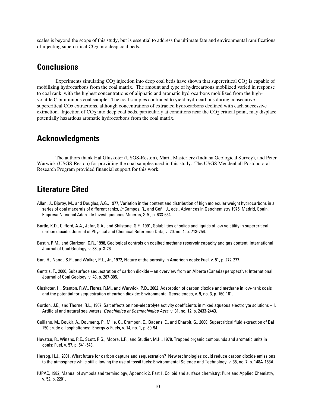scales is beyond the scope of this study, but is essential to address the ultimate fate and environmental ramifications of injecting supercritical  $CO<sub>2</sub>$  into deep coal beds.

## **Conclusions**

Experiments simulating  $CO<sub>2</sub>$  injection into deep coal beds have shown that supercritical  $CO<sub>2</sub>$  is capable of mobilizing hydrocarbons from the coal matrix. The amount and type of hydrocarbons mobilized varied in response to coal rank, with the highest concentrations of aliphatic and aromatic hydrocarbons mobilized from the highvolatile C bituminous coal sample. The coal samples continued to yield hydrocarbons during consecutive supercritical CO<sub>2</sub> extractions, although concentrations of extracted hydrocarbons declined with each successive extraction. Injection of  $CO<sub>2</sub>$  into deep coal beds, particularly at conditions near the  $CO<sub>2</sub>$  critical point, may displace potentially hazardous aromatic hydrocarbons from the coal matrix.

## **Acknowledgments**

The authors thank Hal Gluskoter (USGS-Reston), Maria Masterlerz (Indiana Geological Survey), and Peter Warwick (USGS-Reston) for providing the coal samples used in this study. The USGS Mendenhall Postdoctoral Research Program provided financial support for this work.

## **Literature Cited**

- Allan, J., Bjorøy, M., and Douglas, A.G., 1977, Variation in the content and distribution of high molecular weight hydrocarbons in a series of coal macerals of different ranks, *in* Campos, R., and Goñi, J., eds., Advances in Geochemistry 1975: Madrid, Spain, Empresa Nacional Adaro de Investigaciones Mineras, S.A., p. 633-654.
- Bartle, K.D., Clifford, A.A., Jafar, S.A., and Shilstone, G.F., 1991, Solubilities of solids and liquids of low volatility in supercritical carbon dioxide: Journal of Physical and Chemical Reference Data, v. 20, no. 4, p. 713-756.
- Bustin, R.M., and Clarkson, C.R., 1998, Geological controls on coalbed methane reservoir capacity and gas content: International Journal of Coal Geology, v. 38, p. 3-26.
- Gan, H., Nandi, S.P., and Walker, P.L., Jr., 1972, Nature of the porosity in American coals: Fuel, v. 51, p. 272-277.
- Gentzis, T., 2000, Subsurface sequestration of carbon dioxide an overview from an Alberta (Canada) perspective: International Journal of Coal Geology, v. 43, p. 287-305.
- Gluskoter, H., Stanton, R.W., Flores, R.M., and Warwick, P.D., 2002, Adsorption of carbon dioxide and methane in low-rank coals and the potential for sequestration of carbon dioxide: Environmental Geosciences, v. 9, no. 3, p. 160-161.
- Gordon, J.E., and Thorne, R.L., 1967, Salt effects on non-electrolyte activity coefficients in mixed aqueous electrolyte solutions –II. Artificial and natural sea waters: *Geochimica et Cosmochimica Acta*, v. 31, no. 12, p. 2433-2443.
- Guiliano, M., Boukir, A., Doumenq, P., Mille, G., Crampon, C., Badens, E., and Charbit, G., 2000, Supercritical fluid extraction of Bal 150 crude oil asphaltenes: Energy & Fuels, v. 14, no. 1, p. 89-94.
- Hayatsu, R., Winans, R.E., Scott, R.G., Moore, L.P., and Studier, M.H., 1978, Trapped organic compounds and aromatic units in coals: Fuel, v. 57, p. 541-548.
- Herzog, H.J., 2001, What future for carbon capture and sequestration? New technologies could reduce carbon dioxide emissions to the atmosphere while still allowing the use of fossil fuels: Environmental Science and Technology, v. 35, no. 7, p. 148A-153A.
- IUPAC, 1982, Manual of symbols and terminology, Appendix 2, Part 1. Colloid and surface chemistry: Pure and Applied Chemistry, v. 52, p. 2201.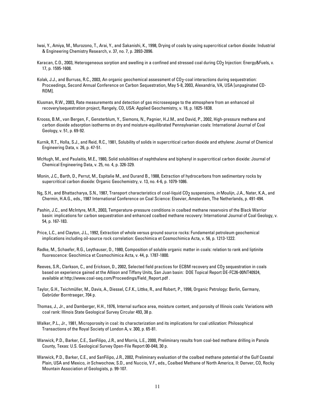- Iwai, Y., Amiya, M., Murozono, T., Arai, Y., and Sakanishi, K., 1998, Drying of coals by using supercritical carbon dioxide: Industrial & Engineering Chemistry Research, v. 37, no. 7, p. 2893-2896.
- Karacan, C.O., 2003, Heterogeneous sorption and swelling in a confined and stressed coal during CO2 Injection: Energy&Fuels, v. 17, p. 1595-1608.
- Kolak, J.J., and Burruss, R.C., 2003, An organic geochemical assessment of CO2-coal interactions during sequestration: Proceedings, Second Annual Conference on Carbon Sequestration, May 5-8, 2003, Alexandria, VA, USA [unpaginated CD-ROM].
- Klusman, R.W., 2003, Rate measurements and detection of gas microseepage to the atmosphere from an enhanced oil recovery/sequestration project, Rangely, CO, USA: Applied Geochemistry, v. 18, p. 1825-1838.
- Krooss, B.M., van Bergen, F., Gensterblum, Y., Siemons, N., Pagnier, H.J.M., and David, P., 2002, High-pressure methane and carbon dioxide adsorption isotherms on dry and moisture-equilibrated Pennsylvanian coals: International Journal of Coal Geology, v. 51, p. 69-92.
- Kurnik, R.T., Holla, S.J., and Reid, R.C., 1981, Solubility of solids in supercritical carbon dioxide and ethylene: Journal of Chemical Engineering Data, v. 26, p. 47-51.
- McHugh, M., and Paulaitis, M.E., 1980, Solid solubilities of naphthalene and biphenyl in supercritical carbon dioxide: Journal of Chemical Engineering Data, v. 25, no. 4, p. 326-329.
- Monin, J.C., Barth, D., Perrut, M., Espitalie M., and Durand B., 1988, Extraction of hydrocarbons from sedimentary rocks by supercritical carbon dioxide: Organic Geochemistry, v. 13, no. 4-6, p. 1079-1086.
- Ng, S.H., and Bhattacharya, S.N., 1987, Transport characteristics of coal-liquid CO<sub>2</sub> suspensions, *in* Moulijn, J.A., Nater, K.A., and Chermin, H.A.G., eds., 1987 International Conference on Coal Science: Elsevier, Amsterdam, The Netherlands, p. 491-494.
- Pashin, J.C., and McIntyre, M.R., 2003, Temperature-pressure conditions in coalbed methane reservoirs of the Black Warrior basin: implications for carbon sequestration and enhanced coalbed methane recovery: International Journal of Coal Geology, v. 54, p. 167-183.
- Price, L.C., and Clayton, J.L., 1992, Extraction of whole versus ground source rocks: Fundamental petroleum geochemical implications including oil-source rock correlation: Geochimica et Cosmochimica Acta, v. 56, p. 1213-1222.
- Radke, M., Schaefer, R.G., Leythauser, D., 1980, Composition of soluble organic matter in coals: relation to rank and liptinite fluorescence: Geochimica et Cosmochimica Acta, v. 44, p. 1787-1800.
- Reeves, S.R., Clarkson, C., and Erickson, D., 2002, Selected field practices for ECBM recovery and CO<sub>2</sub> sequestration in coals based on experience gained at the Allison and Tiffany Units, San Juan basin: DOE Topical Report DE-FC26-00NT40924, available at http://www.coal-seq.com/Proceedings/Field\_Report.pdf .
- Taylor, G.H., Teichmüller, M., Davis, A., Diessel, C.F.K., Littke, R., and Robert, P., 1998, Organic Petrology: Berlin, Germany, Gebrüder Borntraeger, 704 p.
- Thomas, J., Jr., and Damberger, H.H., 1976, Internal surface area, moisture content, and porosity of Illinois coals: Variations with coal rank: Illinois State Geological Survey Circular 493, 38 p.
- Walker, P.L., Jr., 1981, Microporosity in coal: its characterization and its implications for coal utilization: Philosophical Transactions of the Royal Society of London A, v. 300, p. 65-81.
- Warwick, P.D., Barker, C.E., SanFilipo, J.R., and Morris, L.E., 2000, Preliminary results from coal-bed methane drilling in Panola County, Texas: U.S. Geological Survey Open-File Report 00-048, 30 p.
- Warwick, P.D., Barker, C.E., and SanFilipo, J.R., 2002, Preliminary evaluation of the coalbed methane potential of the Gulf Coastal Plain, USA and Mexico, *in* Schwochow, S.D., and Nuccio, V.F., eds., Coalbed Methane of North America, II: Denver, CO, Rocky Mountain Association of Geologists, p. 99-107.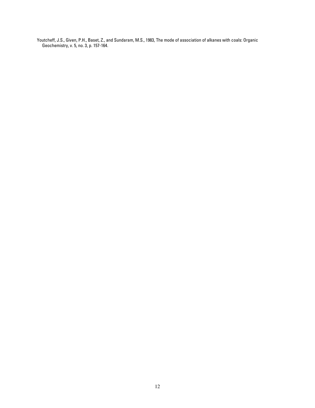Youtcheff, J.S., Given, P.H., Baset, Z., and Sundaram, M.S., 1983, The mode of association of alkanes with coals: Organic Geochemistry, v. 5, no. 3, p. 157-164.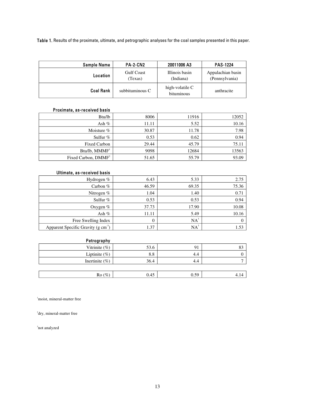Table 1. Results of the proximate, ultimate, and petrographic analyses for the coal samples presented in this paper.

| <b>Sample Name</b> | <b>PA-2-CN2</b>              | 20011006 A3                   | <b>PAS-1224</b>                     |
|--------------------|------------------------------|-------------------------------|-------------------------------------|
| Location           | <b>Gulf Coast</b><br>(Texas) | Illinois basin<br>(Indiana)   | Appalachian basin<br>(Pennsylvania) |
| <b>Coal Rank</b>   | subbituminous C              | high-volatile C<br>bituminous | anthracite                          |

#### Proximate, as-received basis

| Btu/lb                | 8006  | 11916 | 12052 |
|-----------------------|-------|-------|-------|
| Ash $%$               | 11.11 | 5.52  | 10.16 |
| Moisture $%$          | 30.87 | 11.78 | 7.98  |
| Sulfur $%$            | 0.53  | 0.62  | 0.94  |
| <b>Fixed Carbon</b>   | 29.44 | 45.79 | 75.11 |
| Btu/lb, MMMF          | 9098  | 12684 | 13563 |
| Fixed Carbon, $DMMF2$ | 51.65 | 55.79 | 93.09 |

#### Ultimate, as-received basis

| Hydrogen %                                   | 6.43  | 5.33   | 2.75  |
|----------------------------------------------|-------|--------|-------|
| Carbon $%$                                   | 46.59 | 69.35  | 75.36 |
| Nitrogen $%$                                 | 1.04  | 1.40   | 0.71  |
| Sulfur %                                     | 0.53  | 0.53   | 0.94  |
| Oxygen $%$                                   | 37.73 | 17.90  | 10.08 |
| Ash $%$                                      | 11.11 | 5.49   | 10.16 |
| Free Swelling Index                          | 0     | $NA^3$ |       |
| Apparent Specific Gravity $(g \text{ cm}^3)$ | 1.37  | $NA^3$ | 1.53  |

#### Petrography

| .                  |      |      |         |
|--------------------|------|------|---------|
| Vitrinite $(\% )$  | 53.6 | 91   | $\circ$ |
| Liptinite $(\%)$   | 8.8  | 4.4  |         |
| Inertinite $(\% )$ | 36.4 | 4.4  | −       |
|                    |      |      |         |
| Ro(%)              | 0.45 | 0.59 | 4.14    |

<sup>1</sup>moist, mineral-matter free

2 dry, mineral-matter free

3 not analyzed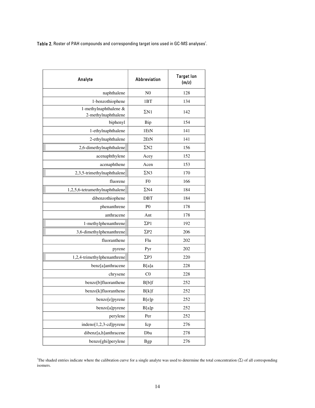**Table 2.** Roster of PAH compounds and corresponding target ions used in GC-MS analyses $^!$ .

| Analyte                                      | <b>Abbreviation</b> | <b>Target lon</b><br>(m/z) |
|----------------------------------------------|---------------------|----------------------------|
| naphthalene                                  | N <sub>0</sub>      | 128                        |
| 1-benzothiophene                             | 1 <sub>BT</sub>     | 134                        |
| 1-methylnaphthalene &<br>2-methylnaphthalene | $\Sigma N1$         | 142                        |
| biphenyl                                     | Bip                 | 154                        |
| 1-ethylnaphthalene                           | 1EtN                | 141                        |
| 2-ethylnaphthalene                           | 2EtN                | 141                        |
| 2,6-dimethylnaphthalene                      | $\Sigma N2$         | 156                        |
| acenaphthylene                               | Acey                | 152                        |
| acenaphthene                                 | Acen                | 153                        |
| 2,3,5-trimethylnaphthalene                   | $\Sigma N3$         | 170                        |
| fluorene                                     | F <sub>0</sub>      | 166                        |
| 1,2,5,6-tetramethylnaphthalene               | $\Sigma N4$         | 184                        |
| dibenzothiophene                             | DBT                 | 184                        |
| phenanthrene                                 | P <sub>0</sub>      | 178                        |
| anthracene                                   | Ant                 | 178                        |
| 1-methylphenanthrene                         | $\Sigma P1$         | 192                        |
| 3,6-dimethylphenanthrene                     | $\Sigma P2$         | 206                        |
| fluoranthene                                 | Flu                 | 202                        |
| pyrene                                       | Pyr                 | 202                        |
| 1,2,4-trimethylphenanthrene                  | $\Sigma P3$         | 220                        |
| benz[a]anthracene                            | B[a]a               | 228                        |
| chrysene                                     | CO                  | 228                        |
| benzo[b]fluoranthene                         | B[b]f               | 252                        |
| benzo[k]fluoranthene                         | B[k]f               | 252                        |
| benzo[e]pyrene                               | B[e]p               | 252                        |
| benzo[a]pyrene                               | B[a]p               | 252                        |
| perylene                                     | Per                 | 252                        |
| indeno[1,2,3-cd]pyrene                       | Icp                 | 276                        |
| dibenz[a,h]anthracene                        | Dba                 | 278                        |
| benzo[ghi]perylene                           | <b>Bgp</b>          | 276                        |

The shaded entries indicate where the calibration curve for a single analyte was used to determine the total concentration  $(\Sigma)$  of all corresponding isomers.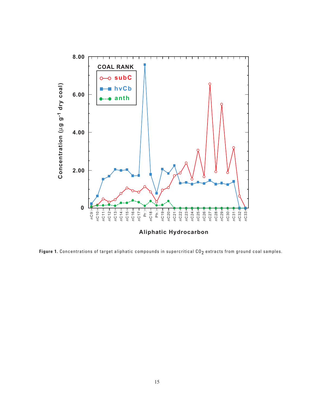

Figure 1. Concentrations of target aliphatic compounds in supercritical CO<sub>2</sub> extracts from ground coal samples.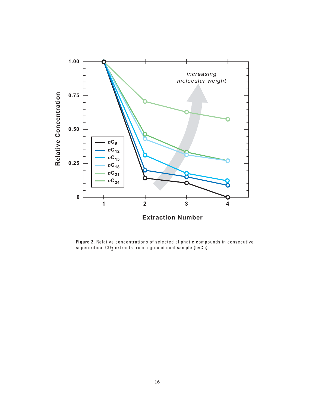

**Figure 2.** Relative concentrations of selected aliphatic compounds in consecutive supercritical CO<sub>2</sub> extracts from a ground coal sample (hvCb).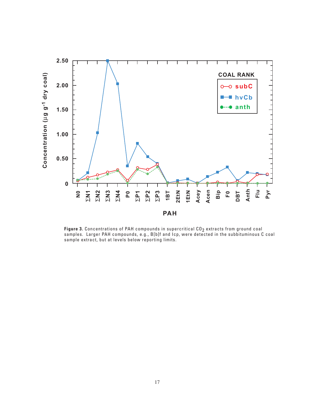

**Figure 3.** Concentrations of PAH compounds in supercritical CO<sub>2</sub> extracts from ground coal<br>samples. Larger PAH compounds, e.g., B[b]f and Icp, were detected in the subbituminous C coal sample extract, but at levels below reporting limits.